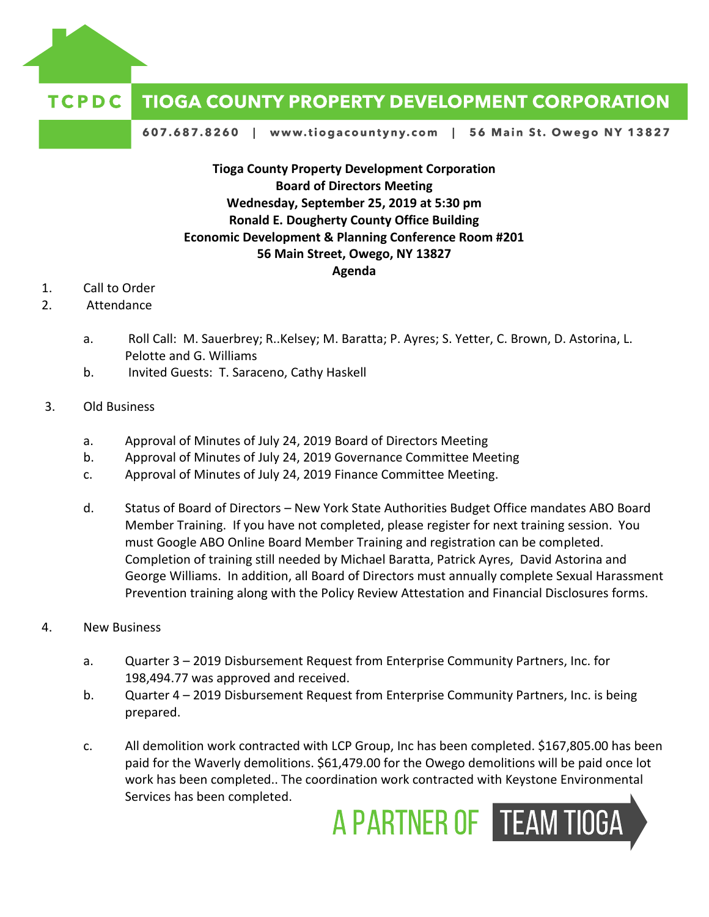

## **TCPDC TIOGA COUNTY PROPERTY DEVELOPMENT CORPORATION**

607.687.8260 | www.tiogacountyny.com | 56 Main St. Owego NY 13827

## **Tioga County Property Development Corporation Board of Directors Meeting Wednesday, September 25, 2019 at 5:30 pm Ronald E. Dougherty County Office Building Economic Development & Planning Conference Room #201 56 Main Street, Owego, NY 13827 Agenda**

- 1. Call to Order
- 2. Attendance
	- a. Roll Call: M. Sauerbrey; R..Kelsey; M. Baratta; P. Ayres; S. Yetter, C. Brown, D. Astorina, L. Pelotte and G. Williams
	- b. Invited Guests: T. Saraceno, Cathy Haskell

## 3. Old Business

- a. Approval of Minutes of July 24, 2019 Board of Directors Meeting
- b. Approval of Minutes of July 24, 2019 Governance Committee Meeting
- c. Approval of Minutes of July 24, 2019 Finance Committee Meeting.
- d. Status of Board of Directors New York State Authorities Budget Office mandates ABO Board Member Training. If you have not completed, please register for next training session. You must Google ABO Online Board Member Training and registration can be completed. Completion of training still needed by Michael Baratta, Patrick Ayres, David Astorina and George Williams. In addition, all Board of Directors must annually complete Sexual Harassment Prevention training along with the Policy Review Attestation and Financial Disclosures forms.
- 4. New Business
	- a. Quarter 3 2019 Disbursement Request from Enterprise Community Partners, Inc. for 198,494.77 was approved and received.
	- b. Quarter 4 2019 Disbursement Request from Enterprise Community Partners, Inc. is being prepared.
	- c. All demolition work contracted with LCP Group, Inc has been completed. \$167,805.00 has been paid for the Waverly demolitions. \$61,479.00 for the Owego demolitions will be paid once lot work has been completed.. The coordination work contracted with Keystone Environmental Services has been completed.